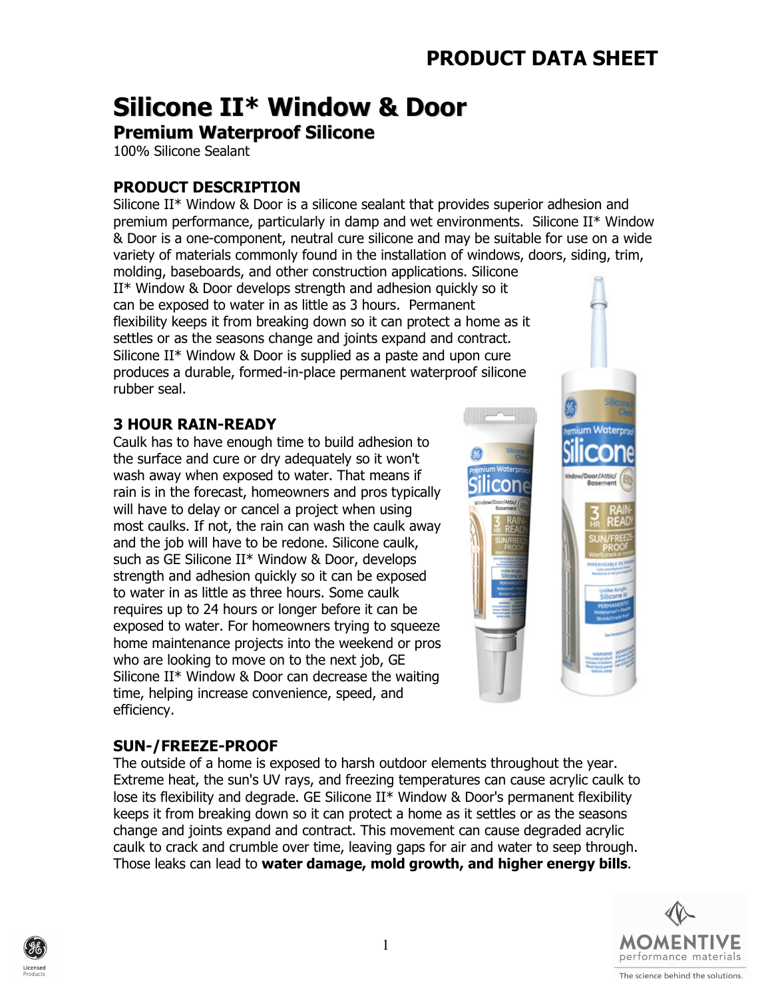# Silicone II\* Window & Door

### Premium Waterproof Silicone

100% Silicone Sealant

### PRODUCT DESCRIPTION

Silicone II\* Window & Door is a silicone sealant that provides superior adhesion and premium performance, particularly in damp and wet environments. Silicone II\* Window & Door is a one-component, neutral cure silicone and may be suitable for use on a wide variety of materials commonly found in the installation of windows, doors, siding, trim,

molding, baseboards, and other construction applications. Silicone II\* Window & Door develops strength and adhesion quickly so it can be exposed to water in as little as 3 hours. Permanent flexibility keeps it from breaking down so it can protect a home as it settles or as the seasons change and joints expand and contract. Silicone II\* Window & Door is supplied as a paste and upon cure produces a durable, formed-in-place permanent waterproof silicone rubber seal.

#### 3 HOUR RAIN-READY

Caulk has to have enough time to build adhesion to the surface and cure or dry adequately so it won't wash away when exposed to water. That means if rain is in the forecast, homeowners and pros typically will have to delay or cancel a project when using most caulks. If not, the rain can wash the caulk away and the job will have to be redone. Silicone caulk, such as GE Silicone II\* Window & Door, develops strength and adhesion quickly so it can be exposed to water in as little as three hours. Some caulk requires up to 24 hours or longer before it can be exposed to water. For homeowners trying to squeeze home maintenance projects into the weekend or pros who are looking to move on to the next job, GE Silicone II\* Window & Door can decrease the waiting time, helping increase convenience, speed, and efficiency.



#### SUN-/FREEZE-PROOF

The outside of a home is exposed to harsh outdoor elements throughout the year. Extreme heat, the sun's UV rays, and freezing temperatures can cause acrylic caulk to lose its flexibility and degrade. GE Silicone II\* Window & Door's permanent flexibility keeps it from breaking down so it can protect a home as it settles or as the seasons change and joints expand and contract. This movement can cause degraded acrylic caulk to crack and crumble over time, leaving gaps for air and water to seep through. Those leaks can lead to water damage, mold growth, and higher energy bills.



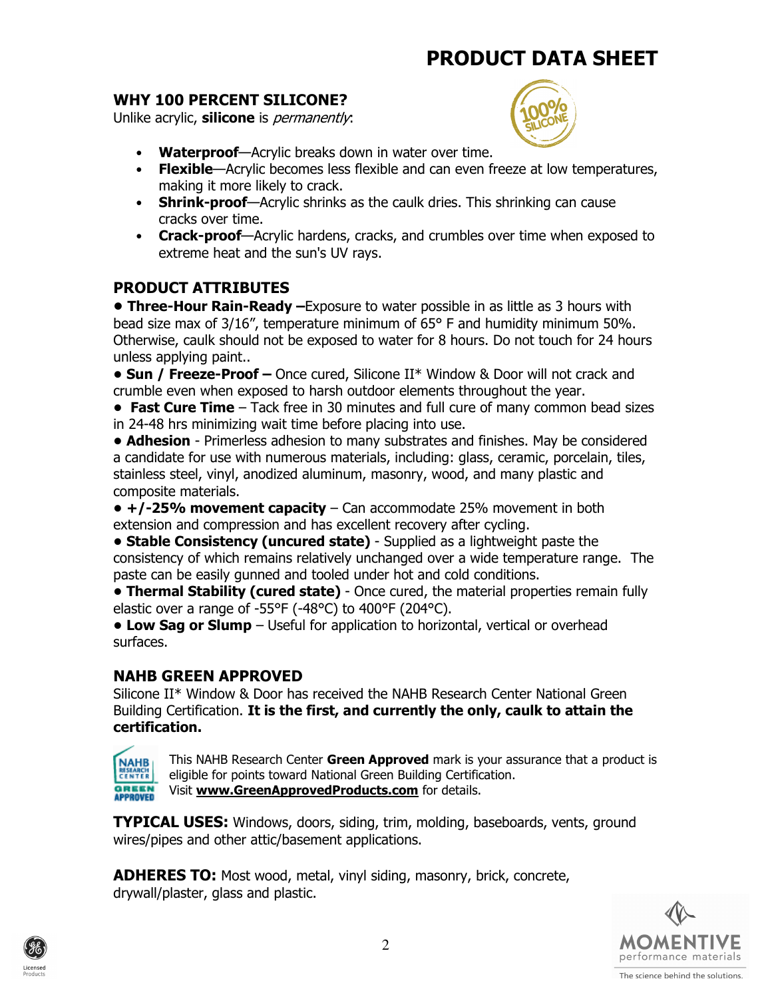#### WHY 100 PERCENT SILICONE?

Unlike acrylic, silicone is *permanently*:



- Waterproof-Acrylic breaks down in water over time.
- Flexible—Acrylic becomes less flexible and can even freeze at low temperatures, making it more likely to crack.
- Shrink-proof—Acrylic shrinks as the caulk dries. This shrinking can cause cracks over time.
- Crack-proof—Acrylic hardens, cracks, and crumbles over time when exposed to extreme heat and the sun's UV rays.

#### PRODUCT ATTRIBUTES

**• Three-Hour Rain-Ready** –Exposure to water possible in as little as 3 hours with bead size max of 3/16", temperature minimum of 65° F and humidity minimum 50%. Otherwise, caulk should not be exposed to water for 8 hours. Do not touch for 24 hours unless applying paint..

• Sun / Freeze-Proof – Once cured, Silicone II\* Window & Door will not crack and crumble even when exposed to harsh outdoor elements throughout the year.

• Fast Cure Time – Tack free in 30 minutes and full cure of many common bead sizes in 24-48 hrs minimizing wait time before placing into use.

• Adhesion - Primerless adhesion to many substrates and finishes. May be considered a candidate for use with numerous materials, including: glass, ceramic, porcelain, tiles, stainless steel, vinyl, anodized aluminum, masonry, wood, and many plastic and composite materials.

 $\bullet$  +/-25% movement capacity – Can accommodate 25% movement in both extension and compression and has excellent recovery after cycling.

• Stable Consistency (uncured state) - Supplied as a lightweight paste the consistency of which remains relatively unchanged over a wide temperature range. The paste can be easily gunned and tooled under hot and cold conditions.

• Thermal Stability (cured state) - Once cured, the material properties remain fully elastic over a range of -55°F (-48°C) to 400°F (204°C).

• Low Sag or Slump – Useful for application to horizontal, vertical or overhead surfaces.

#### NAHB GREEN APPROVED

Silicone II\* Window & Door has received the NAHB Research Center National Green Building Certification. It is the first, and currently the only, caulk to attain the certification.

**NAHB** This NAHB Research Center Green Approved mark is your assurance that a product is eligible for points toward National Green Building Certification. **CENTER GREEN** Visit **www.GreenApprovedProducts.com** for details. **APPROVED** 

**TYPICAL USES:** Windows, doors, siding, trim, molding, baseboards, vents, ground wires/pipes and other attic/basement applications.

ADHERES TO: Most wood, metal, vinyl siding, masonry, brick, concrete, drywall/plaster, glass and plastic.



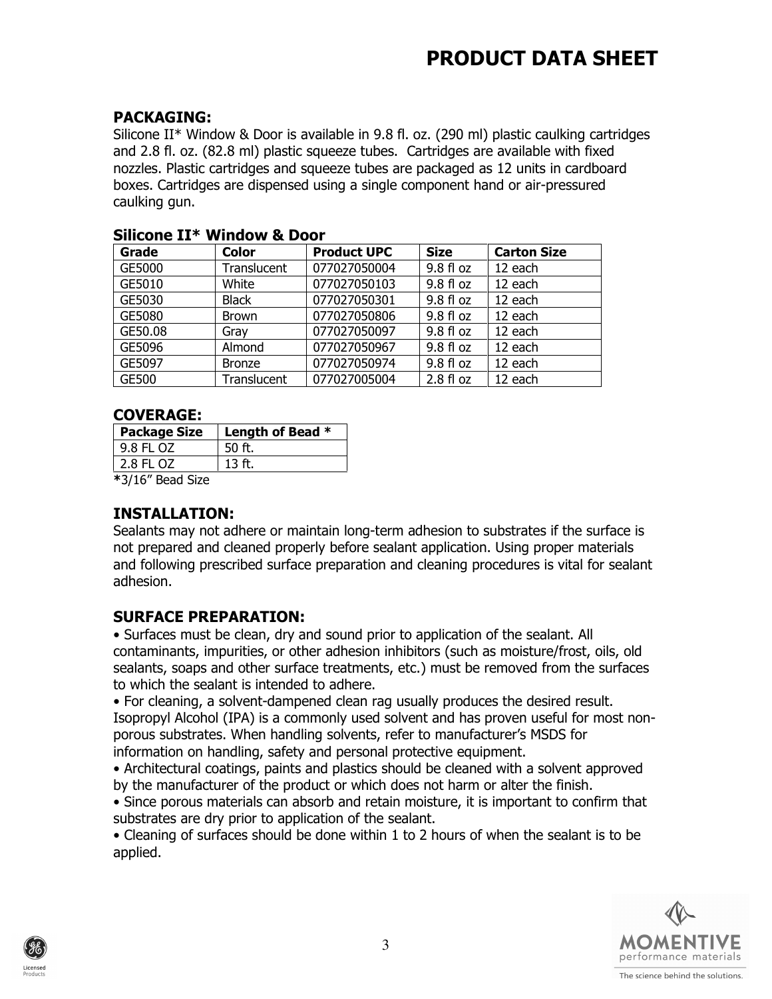#### PACKAGING:

Silicone II\* Window & Door is available in 9.8 fl. oz. (290 ml) plastic caulking cartridges and 2.8 fl. oz. (82.8 ml) plastic squeeze tubes. Cartridges are available with fixed nozzles. Plastic cartridges and squeeze tubes are packaged as 12 units in cardboard boxes. Cartridges are dispensed using a single component hand or air-pressured caulking gun.

| Grade   | <b>Color</b>       | <b>Product UPC</b> | <b>Size</b>  | <b>Carton Size</b> |
|---------|--------------------|--------------------|--------------|--------------------|
| GE5000  | <b>Translucent</b> | 077027050004       | 9.8 fl oz    | 12 each            |
| GE5010  | White              | 077027050103       | 9.8 fl oz    | 12 each            |
| GE5030  | <b>Black</b>       | 077027050301       | $9.8f$ loz   | 12 each            |
| GE5080  | <b>Brown</b>       | 077027050806       | $9.8f$ loz   | 12 each            |
| GE50.08 | Gray               | 077027050097       | $9.8f$ loz   | 12 each            |
| GE5096  | Almond             | 077027050967       | $9.8 f$ l oz | 12 each            |
| GE5097  | <b>Bronze</b>      | 077027050974       | 9.8 fl oz    | 12 each            |
| GE500   | Translucent        | 077027005004       | 2.8 f1 oz    | 12 each            |

#### Silicone II\* Window & Door

#### COVERAGE:

| <b>Package Size</b> | Length of Bead * |
|---------------------|------------------|
| 9.8 FL OZ           | 50 ft.           |
| 2.8 FL OZ           | $13$ ft.         |
| *3/16" Bead Size    |                  |

#### INSTALLATION:

Sealants may not adhere or maintain long-term adhesion to substrates if the surface is not prepared and cleaned properly before sealant application. Using proper materials and following prescribed surface preparation and cleaning procedures is vital for sealant adhesion.

#### SURFACE PREPARATION:

• Surfaces must be clean, dry and sound prior to application of the sealant. All contaminants, impurities, or other adhesion inhibitors (such as moisture/frost, oils, old sealants, soaps and other surface treatments, etc.) must be removed from the surfaces to which the sealant is intended to adhere.

• For cleaning, a solvent-dampened clean rag usually produces the desired result. Isopropyl Alcohol (IPA) is a commonly used solvent and has proven useful for most nonporous substrates. When handling solvents, refer to manufacturer's MSDS for information on handling, safety and personal protective equipment.

• Architectural coatings, paints and plastics should be cleaned with a solvent approved by the manufacturer of the product or which does not harm or alter the finish.

• Since porous materials can absorb and retain moisture, it is important to confirm that substrates are dry prior to application of the sealant.

• Cleaning of surfaces should be done within 1 to 2 hours of when the sealant is to be applied.



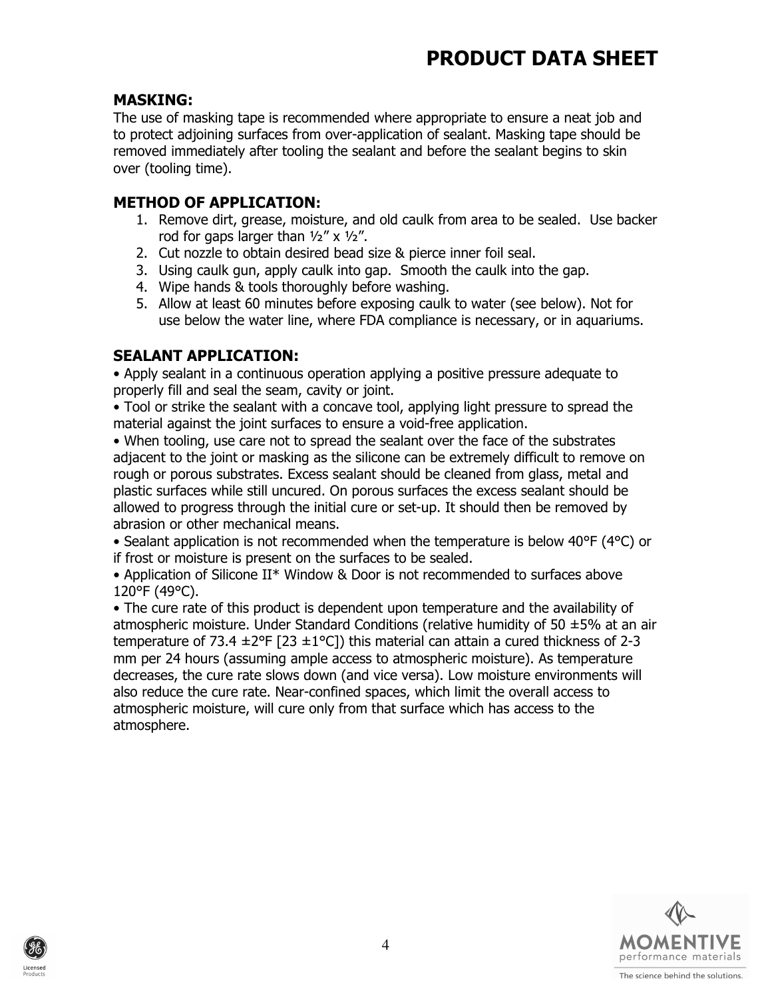#### MASKING:

The use of masking tape is recommended where appropriate to ensure a neat job and to protect adjoining surfaces from over-application of sealant. Masking tape should be removed immediately after tooling the sealant and before the sealant begins to skin over (tooling time).

#### METHOD OF APPLICATION:

- 1. Remove dirt, grease, moisture, and old caulk from area to be sealed. Use backer rod for gaps larger than ½" x ½".
- 2. Cut nozzle to obtain desired bead size & pierce inner foil seal.
- 3. Using caulk gun, apply caulk into gap. Smooth the caulk into the gap.
- 4. Wipe hands & tools thoroughly before washing.
- 5. Allow at least 60 minutes before exposing caulk to water (see below). Not for use below the water line, where FDA compliance is necessary, or in aquariums.

#### SEALANT APPLICATION:

• Apply sealant in a continuous operation applying a positive pressure adequate to properly fill and seal the seam, cavity or joint.

• Tool or strike the sealant with a concave tool, applying light pressure to spread the material against the joint surfaces to ensure a void-free application.

• When tooling, use care not to spread the sealant over the face of the substrates adjacent to the joint or masking as the silicone can be extremely difficult to remove on rough or porous substrates. Excess sealant should be cleaned from glass, metal and plastic surfaces while still uncured. On porous surfaces the excess sealant should be allowed to progress through the initial cure or set-up. It should then be removed by abrasion or other mechanical means.

• Sealant application is not recommended when the temperature is below 40°F (4°C) or if frost or moisture is present on the surfaces to be sealed.

• Application of Silicone II\* Window & Door is not recommended to surfaces above 120°F (49°C).

• The cure rate of this product is dependent upon temperature and the availability of atmospheric moisture. Under Standard Conditions (relative humidity of 50  $\pm$ 5% at an air temperature of 73.4  $\pm 2^{\circ}F$  [23  $\pm 1^{\circ}C$ ]) this material can attain a cured thickness of 2-3 mm per 24 hours (assuming ample access to atmospheric moisture). As temperature decreases, the cure rate slows down (and vice versa). Low moisture environments will also reduce the cure rate. Near-confined spaces, which limit the overall access to atmospheric moisture, will cure only from that surface which has access to the atmosphere.



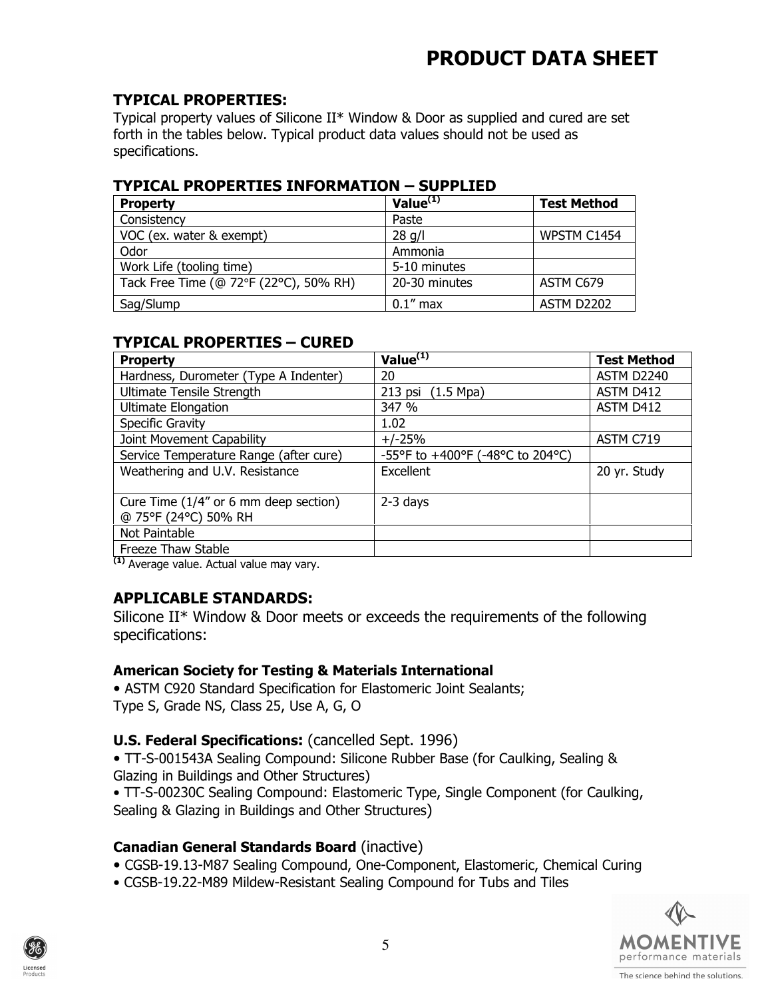#### TYPICAL PROPERTIES:

Typical property values of Silicone II\* Window & Door as supplied and cured are set forth in the tables below. Typical product data values should not be used as specifications.

#### TYPICAL PROPERTIES INFORMATION – SUPPLIED

| <b>Property</b>                        | Value $(1)$   | <b>Test Method</b> |
|----------------------------------------|---------------|--------------------|
| Consistency                            | Paste         |                    |
| VOC (ex. water & exempt)               | $28$ q/l      | WPSTM C1454        |
| Odor                                   | Ammonia       |                    |
| Work Life (tooling time)               | 5-10 minutes  |                    |
| Tack Free Time (@ 72°F (22°C), 50% RH) | 20-30 minutes | ASTM C679          |
| Sag/Slump                              | $0.1$ " max   | <b>ASTM D2202</b>  |

#### TYPICAL PROPERTIES – CURED

| <b>Property</b>                                               | Value $(1)$                      | <b>Test Method</b> |
|---------------------------------------------------------------|----------------------------------|--------------------|
| Hardness, Durometer (Type A Indenter)                         | 20                               | ASTM D2240         |
| Ultimate Tensile Strength                                     | $213$ psi<br>$(1.5 \text{ Mpa})$ | ASTM D412          |
| <b>Ultimate Elongation</b>                                    | 347 %                            | ASTM D412          |
| Specific Gravity                                              | 1.02                             |                    |
| Joint Movement Capability                                     | $+/-25%$                         | ASTM C719          |
| Service Temperature Range (after cure)                        | -55°F to +400°F (-48°C to 204°C) |                    |
| Weathering and U.V. Resistance                                | Excellent                        | 20 yr. Study       |
| Cure Time (1/4" or 6 mm deep section)<br>@ 75°F (24°C) 50% RH | 2-3 days                         |                    |
| Not Paintable                                                 |                                  |                    |
| Freeze Thaw Stable<br>$\cdots$                                |                                  |                    |

(1) Average value. Actual value may vary.

#### APPLICABLE STANDARDS:

Silicone II\* Window & Door meets or exceeds the requirements of the following specifications:

#### American Society for Testing & Materials International

• ASTM C920 Standard Specification for Elastomeric Joint Sealants: Type S, Grade NS, Class 25, Use A, G, O

#### U.S. Federal Specifications: (cancelled Sept. 1996)

• TT-S-001543A Sealing Compound: Silicone Rubber Base (for Caulking, Sealing & Glazing in Buildings and Other Structures)

• TT-S-00230C Sealing Compound: Elastomeric Type, Single Component (for Caulking, Sealing & Glazing in Buildings and Other Structures)

#### Canadian General Standards Board (inactive)

- CGSB-19.13-M87 Sealing Compound, One-Component, Elastomeric, Chemical Curing
- CGSB-19.22-M89 Mildew-Resistant Sealing Compound for Tubs and Tiles



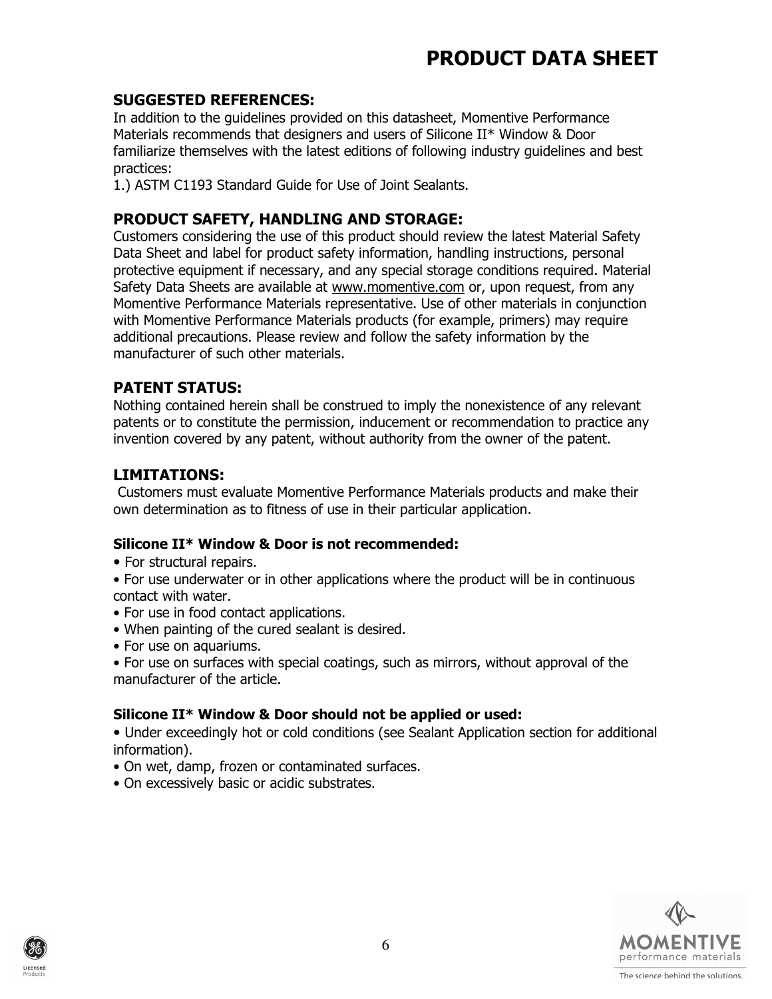#### SUGGESTED REFERENCES:

In addition to the guidelines provided on this datasheet, Momentive Performance Materials recommends that designers and users of Silicone II\* Window & Door familiarize themselves with the latest editions of following industry guidelines and best practices:

1.) ASTM C1193 Standard Guide for Use of Joint Sealants.

#### PRODUCT SAFETY, HANDLING AND STORAGE:

Customers considering the use of this product should review the latest Material Safety Data Sheet and label for product safety information, handling instructions, personal protective equipment if necessary, and any special storage conditions required. Material Safety Data Sheets are available at www.momentive.com or, upon request, from any Momentive Performance Materials representative. Use of other materials in conjunction with Momentive Performance Materials products (for example, primers) may require additional precautions. Please review and follow the safety information by the manufacturer of such other materials.

#### PATENT STATUS:

Nothing contained herein shall be construed to imply the nonexistence of any relevant patents or to constitute the permission, inducement or recommendation to practice any invention covered by any patent, without authority from the owner of the patent.

#### LIMITATIONS:

 Customers must evaluate Momentive Performance Materials products and make their own determination as to fitness of use in their particular application.

#### Silicone II\* Window & Door is not recommended:

• For structural repairs.

• For use underwater or in other applications where the product will be in continuous contact with water.

- For use in food contact applications.
- When painting of the cured sealant is desired.
- For use on aquariums.
- For use on surfaces with special coatings, such as mirrors, without approval of the manufacturer of the article.

#### Silicone II\* Window & Door should not be applied or used:

• Under exceedingly hot or cold conditions (see Sealant Application section for additional information).

- On wet, damp, frozen or contaminated surfaces.
- On excessively basic or acidic substrates.



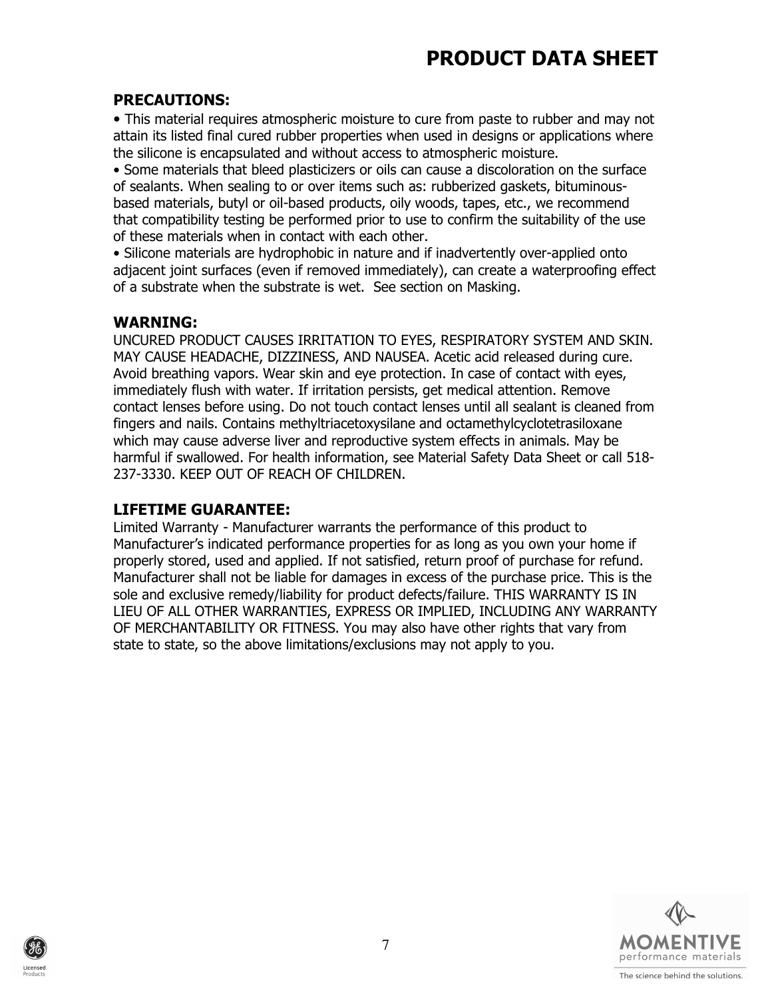#### PRECAUTIONS:

• This material requires atmospheric moisture to cure from paste to rubber and may not attain its listed final cured rubber properties when used in designs or applications where the silicone is encapsulated and without access to atmospheric moisture.

• Some materials that bleed plasticizers or oils can cause a discoloration on the surface of sealants. When sealing to or over items such as: rubberized gaskets, bituminousbased materials, butyl or oil-based products, oily woods, tapes, etc., we recommend that compatibility testing be performed prior to use to confirm the suitability of the use of these materials when in contact with each other.

• Silicone materials are hydrophobic in nature and if inadvertently over-applied onto adjacent joint surfaces (even if removed immediately), can create a waterproofing effect of a substrate when the substrate is wet. See section on Masking.

#### WARNING:

UNCURED PRODUCT CAUSES IRRITATION TO EYES, RESPIRATORY SYSTEM AND SKIN. MAY CAUSE HEADACHE, DIZZINESS, AND NAUSEA. Acetic acid released during cure. Avoid breathing vapors. Wear skin and eye protection. In case of contact with eyes, immediately flush with water. If irritation persists, get medical attention. Remove contact lenses before using. Do not touch contact lenses until all sealant is cleaned from fingers and nails. Contains methyltriacetoxysilane and octamethylcyclotetrasiloxane which may cause adverse liver and reproductive system effects in animals. May be harmful if swallowed. For health information, see Material Safety Data Sheet or call 518- 237-3330. KEEP OUT OF REACH OF CHILDREN.

#### LIFETIME GUARANTEE:

Limited Warranty - Manufacturer warrants the performance of this product to Manufacturer's indicated performance properties for as long as you own your home if properly stored, used and applied. If not satisfied, return proof of purchase for refund. Manufacturer shall not be liable for damages in excess of the purchase price. This is the sole and exclusive remedy/liability for product defects/failure. THIS WARRANTY IS IN LIEU OF ALL OTHER WARRANTIES, EXPRESS OR IMPLIED, INCLUDING ANY WARRANTY OF MERCHANTABILITY OR FITNESS. You may also have other rights that vary from state to state, so the above limitations/exclusions may not apply to you.